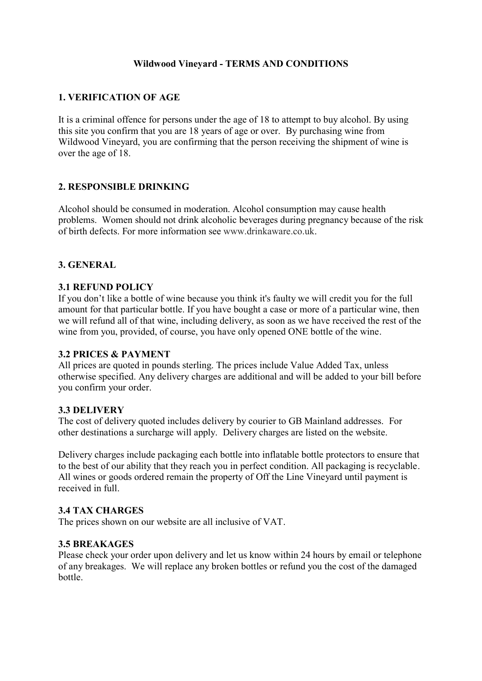## **Wildwood Vineyard - TERMS AND CONDITIONS**

## **1. VERIFICATION OF AGE**

It is a criminal offence for persons under the age of 18 to attempt to buy alcohol. By using this site you confirm that you are 18 years of age or over. By purchasing wine from Wildwood Vineyard, you are confirming that the person receiving the shipment of wine is over the age of 18.

## **2. RESPONSIBLE DRINKING**

Alcohol should be consumed in moderation. Alcohol consumption may cause health problems. Women should not drink alcoholic beverages during pregnancy because of the risk of birth defects. For more information see [www.drinkaware.co.uk.](http://www.drinkaware.co.uk/)

#### **3. GENERAL**

#### **3.1 REFUND POLICY**

If you don't like a bottle of wine because you think it's faulty we will credit you for the full amount for that particular bottle. If you have bought a case or more of a particular wine, then we will refund all of that wine, including delivery, as soon as we have received the rest of the wine from you, provided, of course, you have only opened ONE bottle of the wine.

#### **3.2 PRICES & PAYMENT**

All prices are quoted in pounds sterling. The prices include Value Added Tax, unless otherwise specified. Any delivery charges are additional and will be added to your bill before you confirm your order.

#### **3.3 DELIVERY**

The cost of delivery quoted includes delivery by courier to GB Mainland addresses. For other destinations a surcharge will apply. Delivery charges are listed on the website.

Delivery charges include packaging each bottle into inflatable bottle protectors to ensure that to the best of our ability that they reach you in perfect condition. All packaging is recyclable. All wines or goods ordered remain the property of Off the Line Vineyard until payment is received in full.

#### **3.4 TAX CHARGES**

The prices shown on our website are all inclusive of VAT.

## **3.5 BREAKAGES**

Please check your order upon delivery and let us know within 24 hours by email or telephone of any breakages. We will replace any broken bottles or refund you the cost of the damaged bottle.